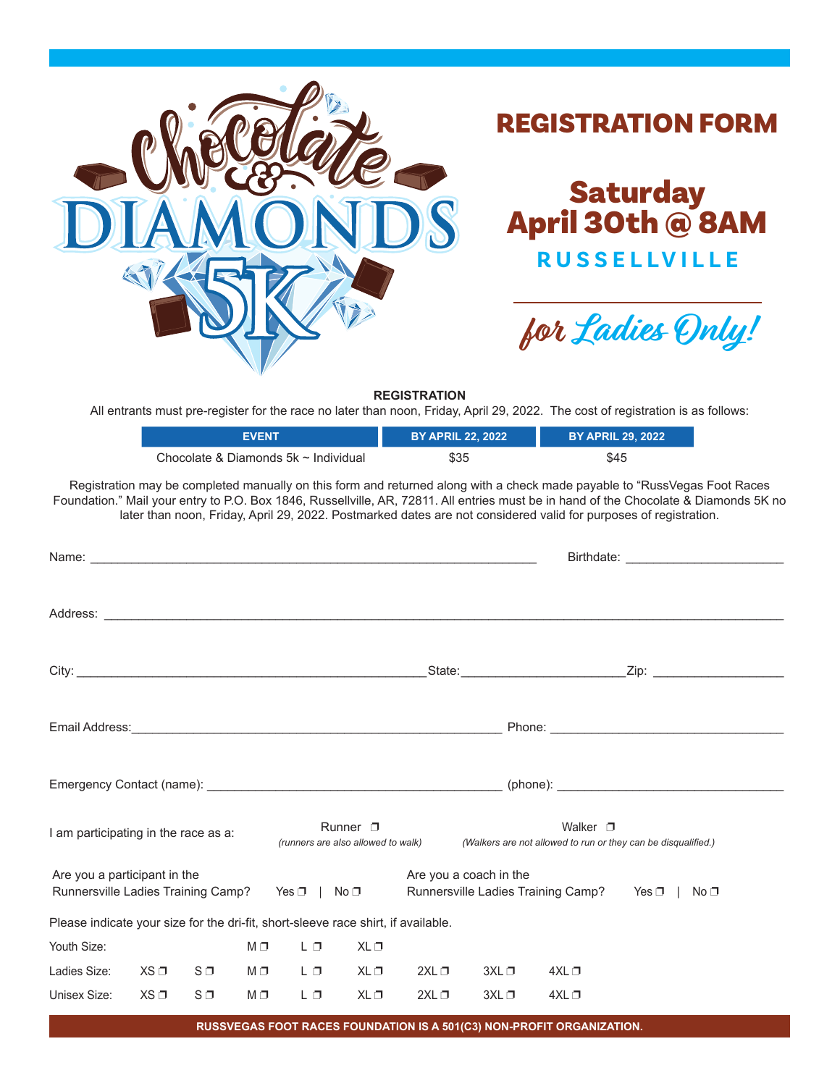

## REGISTRATION FORM



**for Ladies Only!**

**REGISTRATION**

All entrants must pre-register for the race no later than noon, Friday, April 29, 2022. The cost of registration is as follows:

|                                                                                             |          |                | <b>EVENT</b> |      |      | <b>BY APRIL 22, 2022</b>                                                       |                        |                                                                       | <b>BY APRIL 29, 2022</b>                                                                                                                                                                                                                                                                                                                                                               |  |
|---------------------------------------------------------------------------------------------|----------|----------------|--------------|------|------|--------------------------------------------------------------------------------|------------------------|-----------------------------------------------------------------------|----------------------------------------------------------------------------------------------------------------------------------------------------------------------------------------------------------------------------------------------------------------------------------------------------------------------------------------------------------------------------------------|--|
| Chocolate & Diamonds 5k ~ Individual                                                        |          |                |              |      |      | \$35                                                                           |                        |                                                                       | \$45                                                                                                                                                                                                                                                                                                                                                                                   |  |
|                                                                                             |          |                |              |      |      |                                                                                |                        |                                                                       | Registration may be completed manually on this form and returned along with a check made payable to "RussVegas Foot Races<br>Foundation." Mail your entry to P.O. Box 1846, Russellville, AR, 72811. All entries must be in hand of the Chocolate & Diamonds 5K no<br>later than noon, Friday, April 29, 2022. Postmarked dates are not considered valid for purposes of registration. |  |
|                                                                                             |          |                |              |      |      |                                                                                |                        |                                                                       |                                                                                                                                                                                                                                                                                                                                                                                        |  |
|                                                                                             |          |                |              |      |      |                                                                                |                        |                                                                       |                                                                                                                                                                                                                                                                                                                                                                                        |  |
|                                                                                             |          |                |              |      |      |                                                                                |                        |                                                                       |                                                                                                                                                                                                                                                                                                                                                                                        |  |
|                                                                                             |          |                |              |      |      |                                                                                |                        |                                                                       |                                                                                                                                                                                                                                                                                                                                                                                        |  |
|                                                                                             |          |                |              |      |      |                                                                                |                        |                                                                       |                                                                                                                                                                                                                                                                                                                                                                                        |  |
| Runner $\Box$<br>I am participating in the race as a:<br>(runners are also allowed to walk) |          |                |              |      |      | Walker $\Box$<br>(Walkers are not allowed to run or they can be disqualified.) |                        |                                                                       |                                                                                                                                                                                                                                                                                                                                                                                        |  |
| Are you a participant in the<br>Runnersville Ladies Training Camp? Yes D   No D             |          |                |              |      |      |                                                                                | Are you a coach in the |                                                                       | Runnersville Ladies Training Camp? Yes $\Box$   No $\Box$                                                                                                                                                                                                                                                                                                                              |  |
| Please indicate your size for the dri-fit, short-sleeve race shirt, if available.           |          |                |              |      |      |                                                                                |                        |                                                                       |                                                                                                                                                                                                                                                                                                                                                                                        |  |
| Youth Size:                                                                                 |          |                | $M \Box$     | LО   | XL □ |                                                                                |                        |                                                                       |                                                                                                                                                                                                                                                                                                                                                                                        |  |
| Ladies Size:                                                                                | XS □     | $S \Box$       | M □          | L OI | XL □ | 2XL                                                                            | 3XL                    | $4XL$ $\Box$                                                          |                                                                                                                                                                                                                                                                                                                                                                                        |  |
| Unisex Size:                                                                                | $XS\Box$ | S <sub>0</sub> | МO           | ĿО   | XL □ | 2XL                                                                            | $3XL$ $\Box$           | $4XL$ $\Box$                                                          |                                                                                                                                                                                                                                                                                                                                                                                        |  |
|                                                                                             |          |                |              |      |      |                                                                                |                        | RUSSVEGAS FOOT RACES FOUNDATION IS A 501(C3) NON-PROFIT ORGANIZATION. |                                                                                                                                                                                                                                                                                                                                                                                        |  |